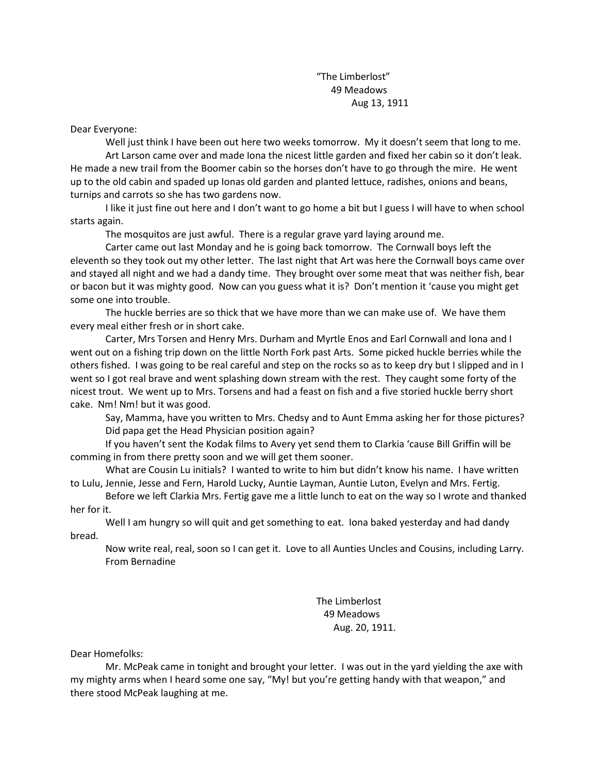"The Limberlost" 49 Meadows Aug 13, 1911

Dear Everyone:

Well just think I have been out here two weeks tomorrow. My it doesn't seem that long to me. Art Larson came over and made Iona the nicest little garden and fixed her cabin so it don't leak. He made a new trail from the Boomer cabin so the horses don't have to go through the mire. He went up to the old cabin and spaded up Ionas old garden and planted lettuce, radishes, onions and beans, turnips and carrots so she has two gardens now.

I like it just fine out here and I don't want to go home a bit but I guess I will have to when school starts again.

The mosquitos are just awful. There is a regular grave yard laying around me.

Carter came out last Monday and he is going back tomorrow. The Cornwall boys left the eleventh so they took out my other letter. The last night that Art was here the Cornwall boys came over and stayed all night and we had a dandy time. They brought over some meat that was neither fish, bear or bacon but it was mighty good. Now can you guess what it is? Don't mention it 'cause you might get some one into trouble.

The huckle berries are so thick that we have more than we can make use of. We have them every meal either fresh or in short cake.

Carter, Mrs Torsen and Henry Mrs. Durham and Myrtle Enos and Earl Cornwall and Iona and I went out on a fishing trip down on the little North Fork past Arts. Some picked huckle berries while the others fished. I was going to be real careful and step on the rocks so as to keep dry but I slipped and in I went so I got real brave and went splashing down stream with the rest. They caught some forty of the nicest trout. We went up to Mrs. Torsens and had a feast on fish and a five storied huckle berry short cake. Nm! Nm! but it was good.

Say, Mamma, have you written to Mrs. Chedsy and to Aunt Emma asking her for those pictures? Did papa get the Head Physician position again?

If you haven't sent the Kodak films to Avery yet send them to Clarkia 'cause Bill Griffin will be comming in from there pretty soon and we will get them sooner.

What are Cousin Lu initials? I wanted to write to him but didn't know his name. I have written to Lulu, Jennie, Jesse and Fern, Harold Lucky, Auntie Layman, Auntie Luton, Evelyn and Mrs. Fertig.

Before we left Clarkia Mrs. Fertig gave me a little lunch to eat on the way so I wrote and thanked her for it.

Well I am hungry so will quit and get something to eat. Iona baked yesterday and had dandy bread.

Now write real, real, soon so I can get it. Love to all Aunties Uncles and Cousins, including Larry. From Bernadine

> The Limberlost 49 Meadows Aug. 20, 1911.

Dear Homefolks:

Mr. McPeak came in tonight and brought your letter. I was out in the yard yielding the axe with my mighty arms when I heard some one say, "My! but you're getting handy with that weapon," and there stood McPeak laughing at me.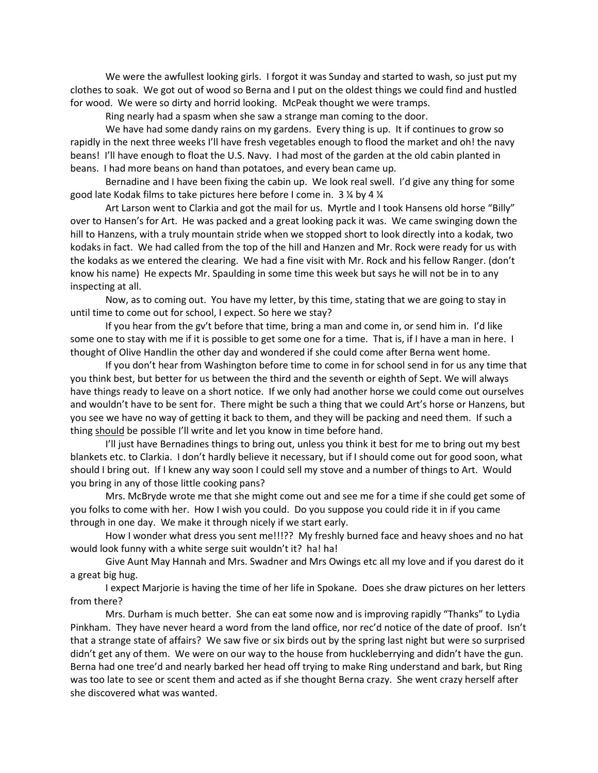We were the awfullest looking girls. I forgot it was Sunday and started to wash, so just put my clothes to soak. We got out of wood so Berna and I put on the oldest things we could find and hustled for wood. We were so dirty and horrid looking. McPeak thought we were tramps.

Ring nearly had a spasm when she saw a strange man coming to the door.

We have had some dandy rains on my gardens. Every thing is up. It if continues to grow so rapidly in the next three weeks I'll have fresh vegetables enough to flood the market and oh! the navy beans! I'll have enough to float the U.S. Navy. I had most of the garden at the old cabin planted in beans. I had more beans on hand than potatoes, and every bean came up.

Bernadine and I have been fixing the cabin up. We look real swell. I'd give any thing for some good late Kodak films to take pictures here before I come in. 3 ¼ by 4 ¼

Art Larson went to Clarkia and got the mail for us. Myrtle and I took Hansens old horse "Billy" over to Hansen's for Art. He was packed and a great looking pack it was. We came swinging down the hill to Hanzens, with a truly mountain stride when we stopped short to look directly into a kodak, two kodaks in fact. We had called from the top of the hill and Hanzen and Mr. Rock were ready for us with the kodaks as we entered the clearing. We had a fine visit with Mr. Rock and his fellow Ranger. (don't know his name) He expects Mr. Spaulding in some time this week but says he will not be in to any inspecting at all.

Now, as to coming out. You have my letter, by this time, stating that we are going to stay in until time to come out for school, I expect. So here we stay?

If you hear from the gv't before that time, bring a man and come in, or send him in. I'd like some one to stay with me if it is possible to get some one for a time. That is, if I have a man in here. I thought of Olive Handlin the other day and wondered if she could come after Berna went home.

If you don't hear from Washington before time to come in for school send in for us any time that you think best, but better for us between the third and the seventh or eighth of Sept. We will always have things ready to leave on a short notice. If we only had another horse we could come out ourselves and wouldn't have to be sent for. There might be such a thing that we could Art's horse or Hanzens, but you see we have no way of getting it back to them, and they will be packing and need them. If such a thing should be possible I'll write and let you know in time before hand.

I'll just have Bernadines things to bring out, unless you think it best for me to bring out my best blankets etc. to Clarkia. I don't hardly believe it necessary, but if I should come out for good soon, what should I bring out. If I knew any way soon I could sell my stove and a number of things to Art. Would you bring in any of those little cooking pans?

Mrs. McBryde wrote me that she might come out and see me for a time if she could get some of you folks to come with her. How I wish you could. Do you suppose you could ride it in if you came through in one day. We make it through nicely if we start early.

How I wonder what dress you sent me!!!?? My freshly burned face and heavy shoes and no hat would look funny with a white serge suit wouldn't it? ha! ha!

Give Aunt May Hannah and Mrs. Swadner and Mrs Owings etc all my love and if you darest do it a great big hug.

I expect Marjorie is having the time of her life in Spokane. Does she draw pictures on her letters from there?

Mrs. Durham is much better. She can eat some now and is improving rapidly "Thanks" to Lydia Pinkham. They have never heard a word from the land office, nor rec'd notice of the date of proof. Isn't that a strange state of affairs? We saw five or six birds out by the spring last night but were so surprised didn't get any of them. We were on our way to the house from huckleberrying and didn't have the gun. Berna had one tree'd and nearly barked her head off trying to make Ring understand and bark, but Ring was too late to see or scent them and acted as if she thought Berna crazy. She went crazy herself after she discovered what was wanted.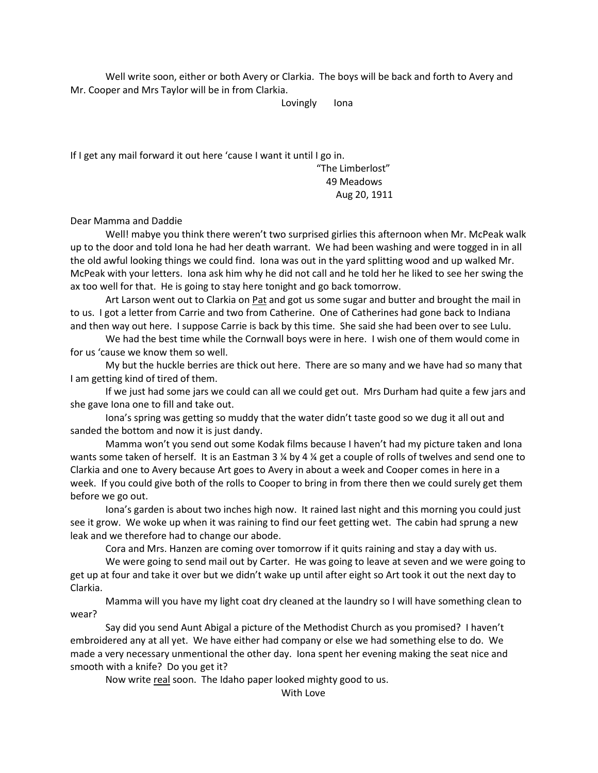Well write soon, either or both Avery or Clarkia. The boys will be back and forth to Avery and Mr. Cooper and Mrs Taylor will be in from Clarkia.

Lovingly Iona

If I get any mail forward it out here 'cause I want it until I go in.

"The Limberlost" 49 Meadows Aug 20, 1911

Dear Mamma and Daddie

Well! mabye you think there weren't two surprised girlies this afternoon when Mr. McPeak walk up to the door and told Iona he had her death warrant. We had been washing and were togged in in all the old awful looking things we could find. Iona was out in the yard splitting wood and up walked Mr. McPeak with your letters. Iona ask him why he did not call and he told her he liked to see her swing the ax too well for that. He is going to stay here tonight and go back tomorrow.

Art Larson went out to Clarkia on Pat and got us some sugar and butter and brought the mail in to us. I got a letter from Carrie and two from Catherine. One of Catherines had gone back to Indiana and then way out here. I suppose Carrie is back by this time. She said she had been over to see Lulu.

We had the best time while the Cornwall boys were in here. I wish one of them would come in for us 'cause we know them so well.

My but the huckle berries are thick out here. There are so many and we have had so many that I am getting kind of tired of them.

If we just had some jars we could can all we could get out. Mrs Durham had quite a few jars and she gave Iona one to fill and take out.

Iona's spring was getting so muddy that the water didn't taste good so we dug it all out and sanded the bottom and now it is just dandy.

Mamma won't you send out some Kodak films because I haven't had my picture taken and Iona wants some taken of herself. It is an Eastman 3 % by 4 % get a couple of rolls of twelves and send one to Clarkia and one to Avery because Art goes to Avery in about a week and Cooper comes in here in a week. If you could give both of the rolls to Cooper to bring in from there then we could surely get them before we go out.

Iona's garden is about two inches high now. It rained last night and this morning you could just see it grow. We woke up when it was raining to find our feet getting wet. The cabin had sprung a new leak and we therefore had to change our abode.

Cora and Mrs. Hanzen are coming over tomorrow if it quits raining and stay a day with us.

We were going to send mail out by Carter. He was going to leave at seven and we were going to get up at four and take it over but we didn't wake up until after eight so Art took it out the next day to Clarkia.

Mamma will you have my light coat dry cleaned at the laundry so I will have something clean to wear?

Say did you send Aunt Abigal a picture of the Methodist Church as you promised? I haven't embroidered any at all yet. We have either had company or else we had something else to do. We made a very necessary unmentional the other day. Iona spent her evening making the seat nice and smooth with a knife? Do you get it?

Now write real soon. The Idaho paper looked mighty good to us.

With Love